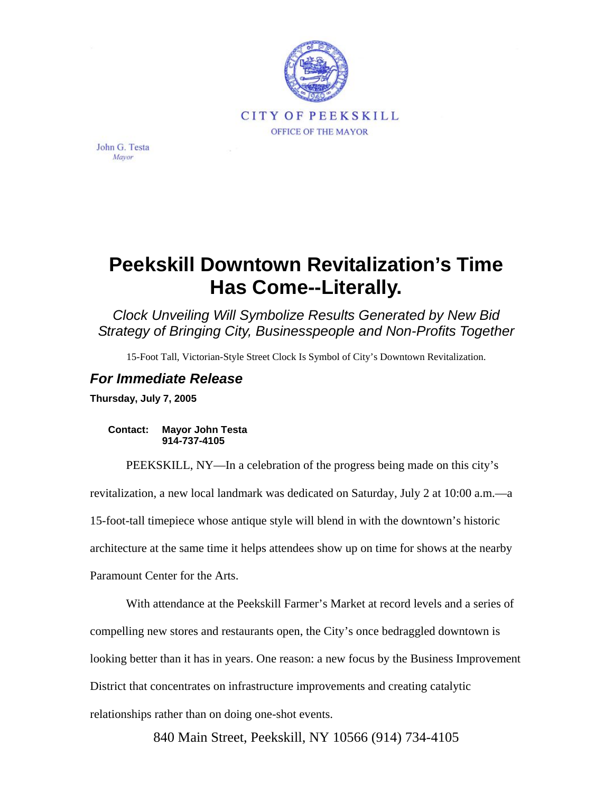

John G. Testa Mavor

## **Peekskill Downtown Revitalization's Time Has Come--Literally.**

*Clock Unveiling Will Symbolize Results Generated by New Bid Strategy of Bringing City, Businesspeople and Non-Profits Together* 

15-Foot Tall, Victorian-Style Street Clock Is Symbol of City's Downtown Revitalization.

## *For Immediate Release*

**Thursday, July 7, 2005** 

## **Contact: Mayor John Testa 914-737-4105**

PEEKSKILL, NY—In a celebration of the progress being made on this city's revitalization, a new local landmark was dedicated on Saturday, July 2 at 10:00 a.m.—a 15-foot-tall timepiece whose antique style will blend in with the downtown's historic architecture at the same time it helps attendees show up on time for shows at the nearby Paramount Center for the Arts.

With attendance at the Peekskill Farmer's Market at record levels and a series of compelling new stores and restaurants open, the City's once bedraggled downtown is looking better than it has in years. One reason: a new focus by the Business Improvement District that concentrates on infrastructure improvements and creating catalytic relationships rather than on doing one-shot events.

840 Main Street, Peekskill, NY 10566 (914) 734-4105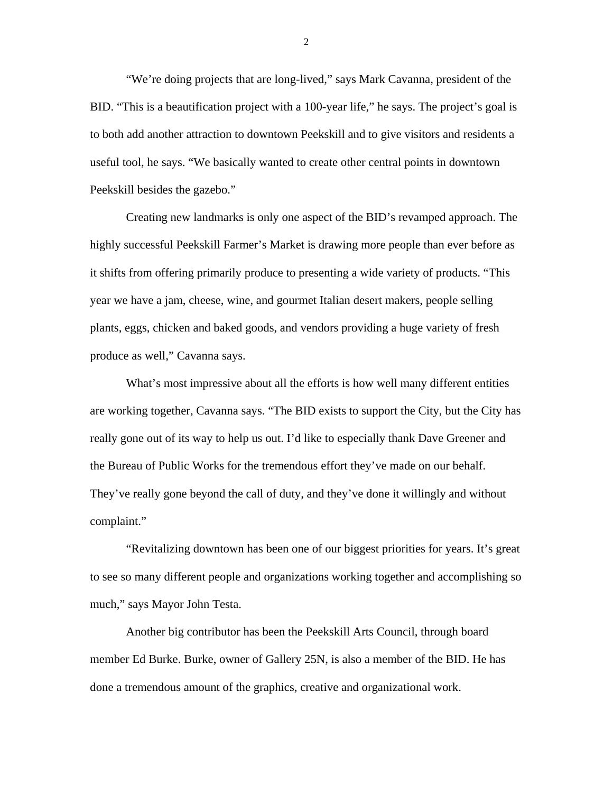"We're doing projects that are long-lived," says Mark Cavanna, president of the BID. "This is a beautification project with a 100-year life," he says. The project's goal is to both add another attraction to downtown Peekskill and to give visitors and residents a useful tool, he says. "We basically wanted to create other central points in downtown Peekskill besides the gazebo."

Creating new landmarks is only one aspect of the BID's revamped approach. The highly successful Peekskill Farmer's Market is drawing more people than ever before as it shifts from offering primarily produce to presenting a wide variety of products. "This year we have a jam, cheese, wine, and gourmet Italian desert makers, people selling plants, eggs, chicken and baked goods, and vendors providing a huge variety of fresh produce as well," Cavanna says.

What's most impressive about all the efforts is how well many different entities are working together, Cavanna says. "The BID exists to support the City, but the City has really gone out of its way to help us out. I'd like to especially thank Dave Greener and the Bureau of Public Works for the tremendous effort they've made on our behalf. They've really gone beyond the call of duty, and they've done it willingly and without complaint."

"Revitalizing downtown has been one of our biggest priorities for years. It's great to see so many different people and organizations working together and accomplishing so much," says Mayor John Testa.

Another big contributor has been the Peekskill Arts Council, through board member Ed Burke. Burke, owner of Gallery 25N, is also a member of the BID. He has done a tremendous amount of the graphics, creative and organizational work.

2